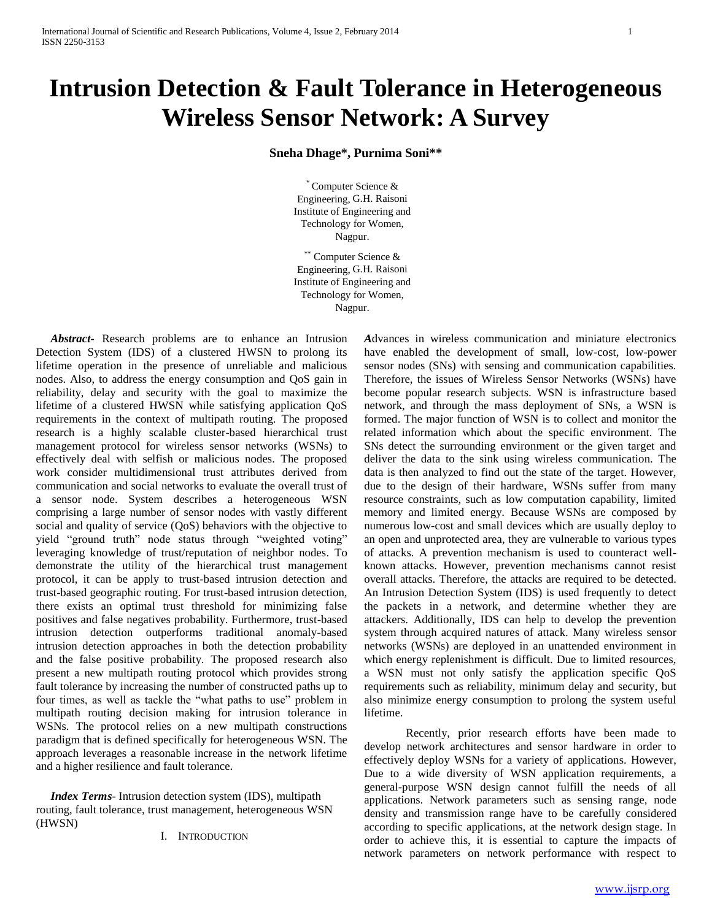# **Intrusion Detection & Fault Tolerance in Heterogeneous Wireless Sensor Network: A Survey**

## **Sneha Dhage\*, Purnima Soni\*\***

\* Computer Science & Engineering, G.H. Raisoni Institute of Engineering and Technology for Women, Nagpur.

\*\* Computer Science & Engineering, G.H. Raisoni Institute of Engineering and Technology for Women, Nagpur.

 *Abstract***-** Research problems are to enhance an Intrusion Detection System (IDS) of a clustered HWSN to prolong its lifetime operation in the presence of unreliable and malicious nodes. Also, to address the energy consumption and QoS gain in reliability, delay and security with the goal to maximize the lifetime of a clustered HWSN while satisfying application QoS requirements in the context of multipath routing. The proposed research is a highly scalable cluster-based hierarchical trust management protocol for wireless sensor networks (WSNs) to effectively deal with selfish or malicious nodes. The proposed work consider multidimensional trust attributes derived from communication and social networks to evaluate the overall trust of a sensor node. System describes a heterogeneous WSN comprising a large number of sensor nodes with vastly different social and quality of service (QoS) behaviors with the objective to yield "ground truth" node status through "weighted voting" leveraging knowledge of trust/reputation of neighbor nodes. To demonstrate the utility of the hierarchical trust management protocol, it can be apply to trust-based intrusion detection and trust-based geographic routing. For trust-based intrusion detection, there exists an optimal trust threshold for minimizing false positives and false negatives probability. Furthermore, trust-based intrusion detection outperforms traditional anomaly-based intrusion detection approaches in both the detection probability and the false positive probability. The proposed research also present a new multipath routing protocol which provides strong fault tolerance by increasing the number of constructed paths up to four times, as well as tackle the "what paths to use" problem in multipath routing decision making for intrusion tolerance in WSNs. The protocol relies on a new multipath constructions paradigm that is defined specifically for heterogeneous WSN. The approach leverages a reasonable increase in the network lifetime and a higher resilience and fault tolerance.

 *Index Terms*- Intrusion detection system (IDS), multipath routing, fault tolerance, trust management, heterogeneous WSN (HWSN)

I. INTRODUCTION

*A*dvances in wireless communication and miniature electronics have enabled the development of small, low-cost, low-power sensor nodes (SNs) with sensing and communication capabilities. Therefore, the issues of Wireless Sensor Networks (WSNs) have become popular research subjects. WSN is infrastructure based network, and through the mass deployment of SNs, a WSN is formed. The major function of WSN is to collect and monitor the related information which about the specific environment. The SNs detect the surrounding environment or the given target and deliver the data to the sink using wireless communication. The data is then analyzed to find out the state of the target. However, due to the design of their hardware, WSNs suffer from many resource constraints, such as low computation capability, limited memory and limited energy. Because WSNs are composed by numerous low-cost and small devices which are usually deploy to an open and unprotected area, they are vulnerable to various types of attacks. A prevention mechanism is used to counteract wellknown attacks. However, prevention mechanisms cannot resist overall attacks. Therefore, the attacks are required to be detected. An Intrusion Detection System (IDS) is used frequently to detect the packets in a network, and determine whether they are attackers. Additionally, IDS can help to develop the prevention system through acquired natures of attack. Many wireless sensor networks (WSNs) are deployed in an unattended environment in which energy replenishment is difficult. Due to limited resources, a WSN must not only satisfy the application specific QoS requirements such as reliability, minimum delay and security, but also minimize energy consumption to prolong the system useful lifetime.

Recently, prior research efforts have been made to develop network architectures and sensor hardware in order to effectively deploy WSNs for a variety of applications. However, Due to a wide diversity of WSN application requirements, a general-purpose WSN design cannot fulfill the needs of all applications. Network parameters such as sensing range, node density and transmission range have to be carefully considered according to specific applications, at the network design stage. In order to achieve this, it is essential to capture the impacts of network parameters on network performance with respect to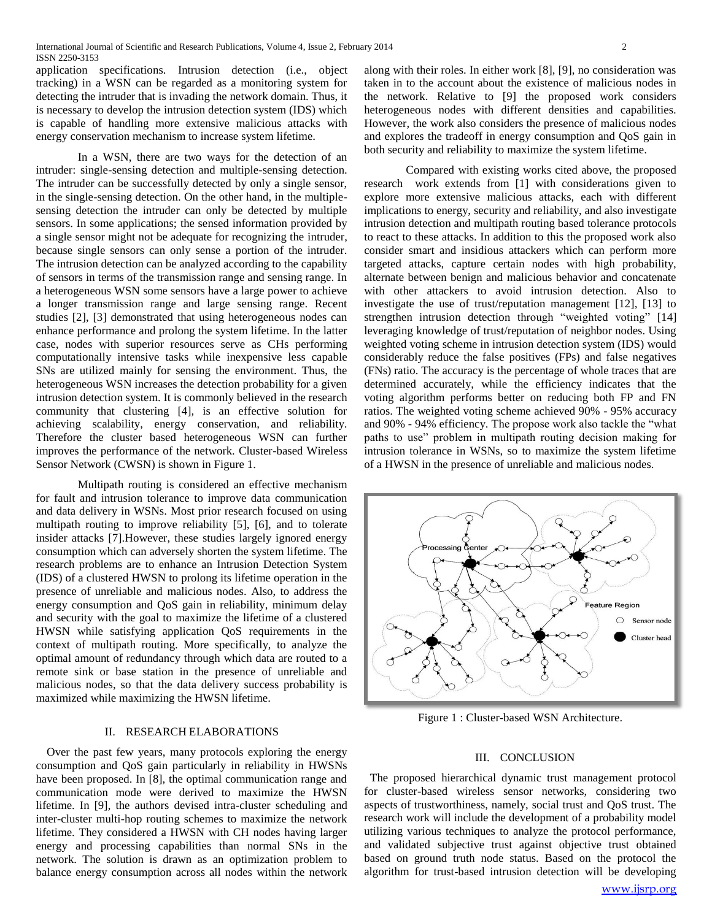application specifications. Intrusion detection (i.e., object tracking) in a WSN can be regarded as a monitoring system for detecting the intruder that is invading the network domain. Thus, it is necessary to develop the intrusion detection system (IDS) which is capable of handling more extensive malicious attacks with energy conservation mechanism to increase system lifetime.

In a WSN, there are two ways for the detection of an intruder: single-sensing detection and multiple-sensing detection. The intruder can be successfully detected by only a single sensor, in the single-sensing detection. On the other hand, in the multiplesensing detection the intruder can only be detected by multiple sensors. In some applications; the sensed information provided by a single sensor might not be adequate for recognizing the intruder, because single sensors can only sense a portion of the intruder. The intrusion detection can be analyzed according to the capability of sensors in terms of the transmission range and sensing range. In a heterogeneous WSN some sensors have a large power to achieve a longer transmission range and large sensing range. Recent studies [2], [3] demonstrated that using heterogeneous nodes can enhance performance and prolong the system lifetime. In the latter case, nodes with superior resources serve as CHs performing computationally intensive tasks while inexpensive less capable SNs are utilized mainly for sensing the environment. Thus, the heterogeneous WSN increases the detection probability for a given intrusion detection system. It is commonly believed in the research community that clustering [4], is an effective solution for achieving scalability, energy conservation, and reliability. Therefore the cluster based heterogeneous WSN can further improves the performance of the network. Cluster-based Wireless Sensor Network (CWSN) is shown in Figure 1.

Multipath routing is considered an effective mechanism for fault and intrusion tolerance to improve data communication and data delivery in WSNs. Most prior research focused on using multipath routing to improve reliability [5], [6], and to tolerate insider attacks [7].However, these studies largely ignored energy consumption which can adversely shorten the system lifetime. The research problems are to enhance an Intrusion Detection System (IDS) of a clustered HWSN to prolong its lifetime operation in the presence of unreliable and malicious nodes. Also, to address the energy consumption and QoS gain in reliability, minimum delay and security with the goal to maximize the lifetime of a clustered HWSN while satisfying application QoS requirements in the context of multipath routing. More specifically, to analyze the optimal amount of redundancy through which data are routed to a remote sink or base station in the presence of unreliable and malicious nodes, so that the data delivery success probability is maximized while maximizing the HWSN lifetime.

## II. RESEARCH ELABORATIONS

Over the past few years, many protocols exploring the energy consumption and QoS gain particularly in reliability in HWSNs have been proposed. In [8], the optimal communication range and communication mode were derived to maximize the HWSN lifetime. In [9], the authors devised intra-cluster scheduling and inter-cluster multi-hop routing schemes to maximize the network lifetime. They considered a HWSN with CH nodes having larger energy and processing capabilities than normal SNs in the network. The solution is drawn as an optimization problem to balance energy consumption across all nodes within the network

along with their roles. In either work [8], [9], no consideration was taken in to the account about the existence of malicious nodes in the network. Relative to [9] the proposed work considers heterogeneous nodes with different densities and capabilities. However, the work also considers the presence of malicious nodes and explores the tradeoff in energy consumption and QoS gain in both security and reliability to maximize the system lifetime.

Compared with existing works cited above, the proposed research work extends from [1] with considerations given to explore more extensive malicious attacks, each with different implications to energy, security and reliability, and also investigate intrusion detection and multipath routing based tolerance protocols to react to these attacks. In addition to this the proposed work also consider smart and insidious attackers which can perform more targeted attacks, capture certain nodes with high probability, alternate between benign and malicious behavior and concatenate with other attackers to avoid intrusion detection. Also to investigate the use of trust/reputation management [12], [13] to strengthen intrusion detection through "weighted voting" [14] leveraging knowledge of trust/reputation of neighbor nodes. Using weighted voting scheme in intrusion detection system (IDS) would considerably reduce the false positives (FPs) and false negatives (FNs) ratio. The accuracy is the percentage of whole traces that are determined accurately, while the efficiency indicates that the voting algorithm performs better on reducing both FP and FN ratios. The weighted voting scheme achieved 90% - 95% accuracy and 90% - 94% efficiency. The propose work also tackle the "what paths to use" problem in multipath routing decision making for intrusion tolerance in WSNs, so to maximize the system lifetime of a HWSN in the presence of unreliable and malicious nodes.



Figure 1 : Cluster-based WSN Architecture.

## III. CONCLUSION

 The proposed hierarchical dynamic trust management protocol for cluster-based wireless sensor networks, considering two aspects of trustworthiness, namely, social trust and QoS trust. The research work will include the development of a probability model utilizing various techniques to analyze the protocol performance, and validated subjective trust against objective trust obtained based on ground truth node status. Based on the protocol the algorithm for trust-based intrusion detection will be developing